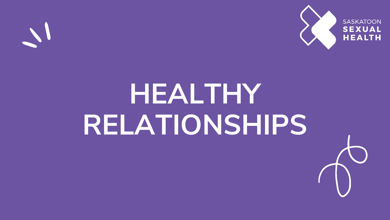

# **HEALTHY RELATIONSHIPS**



#### **SASKATOON SEXUAL HEALTH**

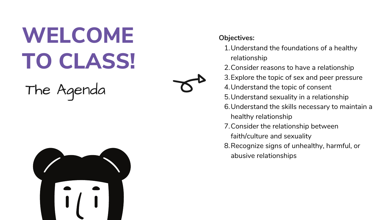# **WELCOME**<br>
TO CLASS!<br>
The Agenda<br>
The Agenda<br>  $\sigma$   $\sigma$   $\frac{2}{3}$ <br>  $\frac{2}{3}$ <br>  $\frac{2}{3}$ <br>  $\frac{2}{3}$ <br>  $\frac{2}{3}$ <br>  $\frac{2}{3}$ <br>  $\frac{2}{3}$ <br>  $\frac{2}{3}$ <br>  $\frac{2}{3}$ <br>  $\frac{2}{3}$ <br>  $\frac{2}{3}$ <br>  $\frac{2}{3}$ <br>  $\frac{2}{3}$ <br>  $\frac{2}{3}$ <br>  $\frac{2}{3}$ <br>



- **Objectives:** 
	- 1. Understand the foundations of a healthy
- r ela tio n s hip
	- 2. Consider reasons to have a relationship
	- 3. Explore the topic of sex and peer pressure
	- 4. Understand the topic of consent
	- 5. Understand sexuality in a relationship
	- 6. Understand the skills necessary to maintain a
		- healthy relationship
	- 7. Consider the relationship between
		- faith/culture and sexuality
	- Recognize signs of unhealthy, harmful, or abusive relationships
		-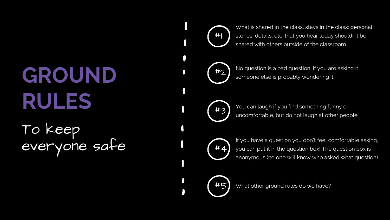## **GROUND RULES** To keep everyone safe

What is shared in the class, stays in the class: personal stories, details, etc. that you hear today shouldn't be shared with others outside of the classroom.

No question is a bad question. If you are asking it, someone else is probably wondering it.



You can laugh if you find something funny or uncomfortable, but do not laugh at other people.

If you have a question you don't feel comfortable asking, you can put it in the question box! The question box is anonymous (no one will know who asked what question).

#5 What other ground rules do we have?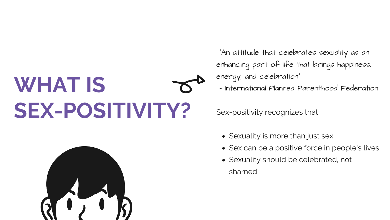• Sexuality is more than just sex • Sex can be a positive force in people's lives Sexuality should be celebrated, not

- 
- 
- - shamed



"An attitude that celebrates sexuality as an enhancing part of life that brings happiness, energy, and celebration"

Sex-positivity recognizes that:

- International Planned Parenthood Federation

# **WHAT IS SEX-POSITIVITY?**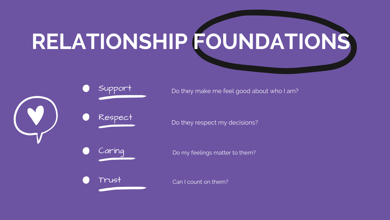# **RELATIONSHIP FOUNDATIONS**





Do they respect my decisions?



Can I count on them?







Support Do they make me feel good about who I am?

Do my feelings matter to them?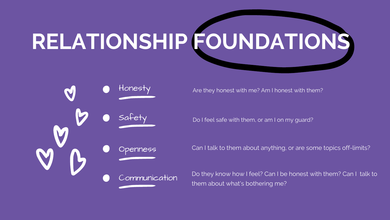# **RELATIONSHIP FOUNDATIONS**

Safety Communication

- Do I feel safe with them, or am I on my guard?
- Openness Can I talk to them about anything, or are some topics off-limits?
	- Do they know how I feel? Can I be honest with them? Can I talk to

them about what's bothering me?



Honesty **Are they honest with me? Am I honest with them?**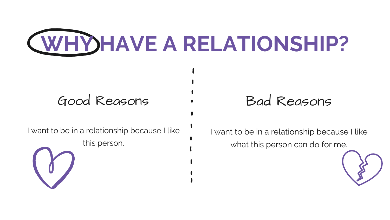

## Good Reasons (Bad Reasons

I want to be in a relationship because I like

this person.

I want to be in a relationship because I like what this person can do for me.



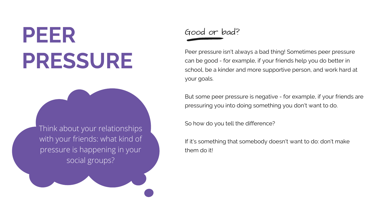## **PEER PRESSURE**

Peer pressure isn't always a bad thing! Sometimes peer pressure can be good - for example, if your friends help you do better in school, be a kinder and more supportive person, and work hard at your goals.

But some peer pressure is negative - for example, if your friends are pressuring you into doing something you don't want to do.

So how do you tell the difference?

If it's something that somebody doesn't want to do: don't make

them do it!

#### Good or bad?

Think about your relationships with your friends: what kind of pressure is happening in your social groups?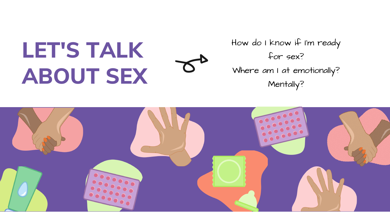## **L E T 'S T A L K A B O U T S E X**



How do I know if I'm ready for sex? Where am I at emotionally? Mentally?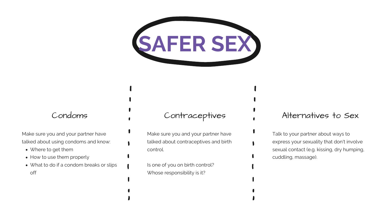

- Where to get them
- How to use them properly
- What to do if a condom breaks or slips off

Make sure you and your partner have talked about using condoms and know:

> Is one of you on birth control? Whose responsibility is it?

#### Condoms Contraceptives

Make sure you and your partner have talked about contraceptives and birth control.

#### Alternatives to Sex

Talk to your partner about ways to express your sexuality that don't involve sexual contact (e.g. kissing, dry humping, cuddling, massage).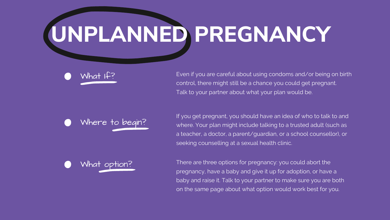# **UNPLANNED PREGNANCY**

Even if you are careful about using condoms and/or being on birth control, there might still be a chance you could get pregnant. Talk to your partner about what your plan would be.

If you get pregnant, you should have an idea of who to talk to and where. Your plan might include talking to a trusted adult (such as a teacher, a doctor, a parent/guardian, or a school counsellor), or seeking counselling at a sexual health clinic.

There are three options for pregnancy: you could abort the pregnancy, have a baby and give it up for adoption, or have a baby and raise it. Talk to your partner to make sure you are both on the same page about what option would work best for you.





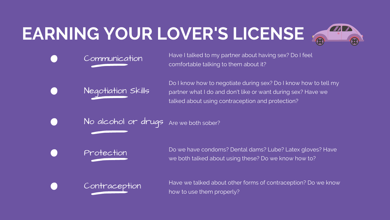## **EARNING YOUR LOVER'S LICENSE**

Have I talked to my partner about having sex? Do I feel comfortable talking to them about it?

Communication

Do I know how to negotiate during sex? Do I know how to tell my partner what I do and don't like or want during sex? Have we talked about using contraception and protection?

No alcohol or drugs Are we both sober?

Negotiation Skills

Do we have condoms? Dental dams? Lube? Latex gloves? Have we both talked about using these? Do we know how to?

Protection

Have we talked about other forms of contraception? Do we know

how to use them properly?



Contraception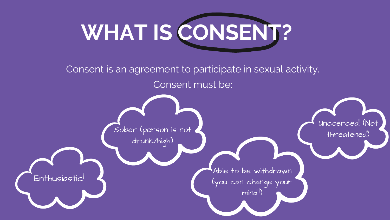

#### Uncoerced! (Not

threatened)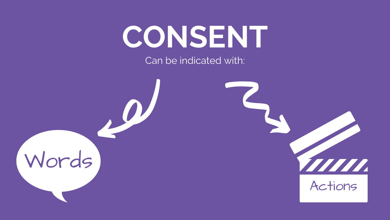## **CONSENT** Can be indicated with:



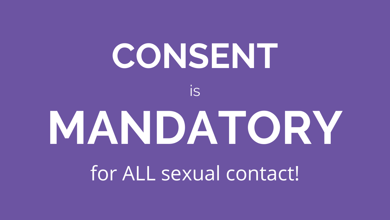# **MANDATORY CONSENT** for ALL sexual contact! is

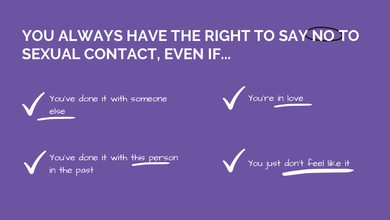## **YOU ALWAYS HAVE THE RIGHT TO SAY NO TO SEXUAL CONTACT, EVEN IF...**







You're in love

## You just don't feel like it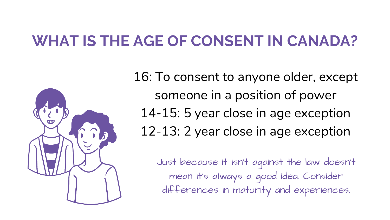## **WHAT IS THE AGE OF CONSENT IN CANADA?**



- 16: To consent to anyone older, except someone in a position of power
	- 14-15: 5 year close in age exception
	- 12-13: 2 year close in age exception
		- Just because it isn't against the law doesn't mean it's always a good idea. Consider differences in maturity and experiences.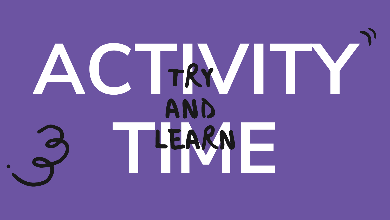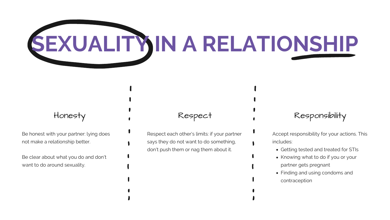

Be honest with your partner: lying does not make a relationship better.

Be clear about what you do and don't want to do around sexuality.

#### Honesty Respect

Respect each other's limits: if your partner says they do not want to do something, don't push them or nag them about it.

#### Responsibility

- Getting tested and treated for STIs
- Knowing what to do if you or your partner gets pregnant
- Finding and using condoms and contraception

Accept responsibility for your actions. This includes: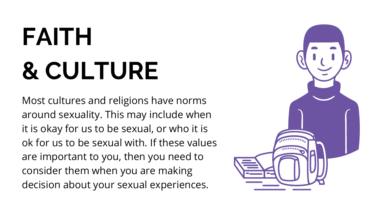Most cultures and religions have norms around sexuality. This may include when it is okay for us to be sexual, or who it is ok for us to be sexual with. If these values are important to you, then you need to consider them when you are making decision about your sexual experiences.



# **FAITH & CULTURE**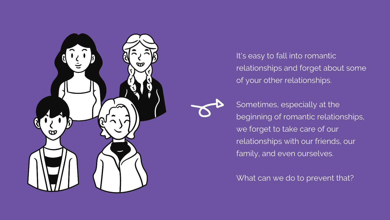

It's easy to fall into romantic relationships and forget about some of your other relationships.

Sometimes, especially at the beginning of romantic relationships, we forget to take care of our relationships with our friends, our family, and even ourselves.

What can we do to prevent that?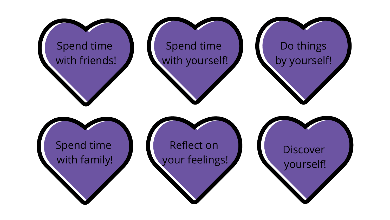## Spend time with friends!

Spend time with family!

## Spend time with yourself!

## Do things by yourself!

Reflect on your feelings!

## Discover yourself!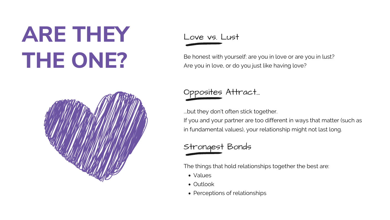## **ARE THEY THE ONE?**

- Values
- Outlook
- Perceptions of relationships

Be honest with yourself: are you in love or are you in lust? Are you in love, or do you just like having love?

Love vs. Lust

The things that hold relationships together the best are:

### Strongest Bonds

...but they don't often stick together. If you and your partner are too different in ways that matter (such as in fundamental values), your relationship might not last long.

## Opposites Attract...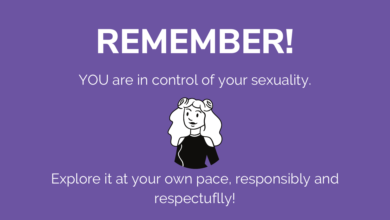# **REMEMBER!**

## YOU are in control of your sexuality.



Explore it at your own pace, responsibly and respectuflly!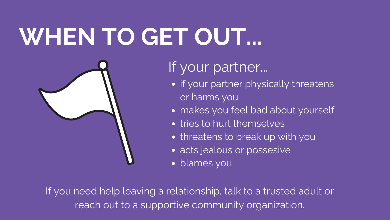# **WHEN TO GET OUT...**



If your partner...

- or harms you
- 
- tries to hurt themselves
- threatens to break up with you
- acts jealous or possesive
- blames you

If you need help leaving a relationship, talk to a trusted adult or reach out to a supportive community organization.

• if your partner physically threatens

• makes you feel bad about yourself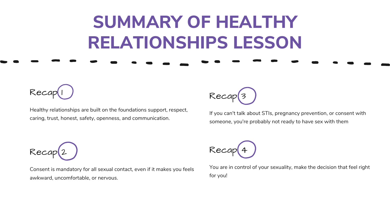Healthy relationships are built on the foundations support, respect, caring, trust, honest, safety, openness, and communication.

Recap<sup>3</sup>

Recap

Consent is mandatory for all sexual contact, even if it makes you feels awkward, uncomfortable, or nervous.

Reco

If you can't talk about STIs, pregnancy prevention, or consent with someone, you're probably not ready to have sex with them



You are in control of your sexuality, make the decision that feel right

for you!



# **SUMMARY OF HEALTHY RELATIONSHIPS LESSON**

Recap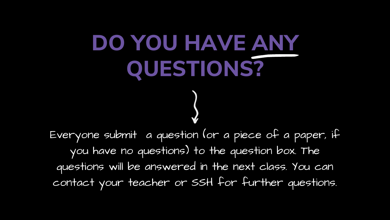# **DO YOU HAVE ANY QUESTIONS?**

Everyone submit a question (or a piece of a paper, if you have no questions) to the question box. The questions will be answered in the next class. You can contact your teacher or SSH for further questions.

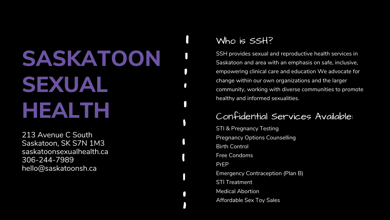## **SASKATOON SEXUAL HEALTH**

213 Avenue C South Saskatoon, SK S7N 1M3 saskatoonsexualhealth.ca 306-244-7989 hello@saskatoonsh.ca

#### Confidential Services Available:

SSH provides sexual and reproductive health services in Saskatoon and area with an emphasis on safe, inclusive, empowering clinical care and education We advocate for change within our own organizations and the larger community, working with diverse communities to promote healthy and informed sexualities.

- STI & Pregnancy Testing Pregnancy Options Counselling
	-
- Emergency Contraception (Plan B)
	-
	-
- Affordable Sex Toy Sales

Birth Control Free Condoms PrEP STI Treatment Medical Abortion

#### Who is SSH?